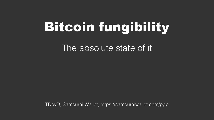# Bitcoin fungibility

The absolute state of it.

TDevD, Samourai Wallet, https://samouraiwallet.com/pgp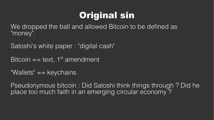## Original sin

We dropped the ball and allowed Bitcoin to be defined as "money".

Satoshi's white paper : "digital cash"

Bitcoin  $==$  text, 1<sup>st</sup> amendment

"Wallets" == keychains

Pseudonymous bitcoin : Did Satoshi think things through ? Did he place too much faith in an emerging circular economy ?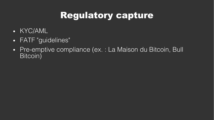## Regulatory capture

- KYC/AML
- FATF "guidelines"
- Pre-emptive compliance (ex. : La Maison du Bitcoin, Bull Bitcoin)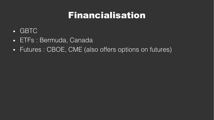#### Financialisation

- GBTC
- ETFs : Bermuda, Canada
- Futures : CBOE, CME (also offers options on futures)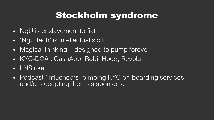#### Stockholm syndrome

- NgU is enslavement to fiat
- "NgU tech" is intellectual sloth
- Magical thinking : "designed to pump forever"
- KYC-DCA : CashApp, RobinHood, Revolut
- LNStrike
- Podcast "influencers" pimping KYC on-boarding services and/or accepting them as sponsors.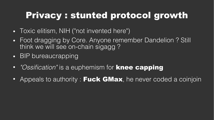## Privacy : stunted protocol growth

- Toxic elitism, NIH ("not invented here")
- Foot dragging by Core. Anyone remember Dandelion ? Still think we will see on-chain sigagg ?
- BIP bureaucrapping
- "Ossification" is a euphemism for knee capping
- Appeals to authority : **Fuck GMax**, he never coded a coinjoin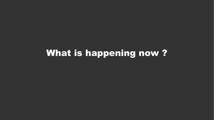#### What is happening now ?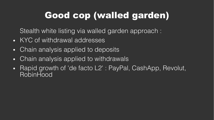# Good cop (walled garden)

Stealth white listing via walled garden approach :

- KYC of withdrawal addresses
- Chain analysis applied to deposits
- Chain analysis applied to withdrawals
- Rapid growth of 'de facto L2' : PayPal, CashApp, Revolut, **RobinHood**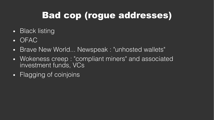# Bad cop (rogue addresses)

- Black listing
- OFAC
- Brave New World... Newspeak : "unhosted wallets"
- Wokeness creep : "compliant miners" and associated investment funds, VCs
- Flagging of coinjoins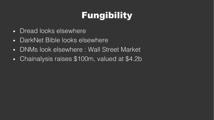# Fungibility

- Dread looks elsewhere
- DarkNet Bible looks elsewhere
- DNMs look elsewhere : Wall Street Market
- Chainalysis raises \$100m, valued at \$4.2b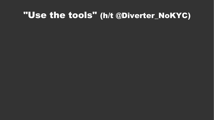#### "Use the tools" (h/t @Diverter\_NoKYC)

- 
- 
- 
- 
- 
- 
- -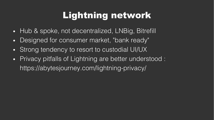## Lightning network

- Hub & spoke, not decentralized, LNBig, Bitrefill
- Designed for consumer market, "bank ready"
- Strong tendency to resort to custodial UI/UX
- Privacy pitfalls of Lightning are better understood : https://abytesjourney.com/lightning-privacy/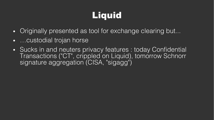# Liquid

- Originally presented as tool for exchange clearing but...
- ...custodial trojan horse
- Sucks in and neuters privacy features : today Confidential Transactions ("CT", crippled on Liquid), tomorrow Schnorr signature aggregation (CISA, "sigagg")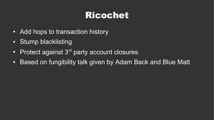## Ricochet

- Add hops to transaction history
- Stump blacklisting
- Protect against  $3<sup>rd</sup>$  party account closures
- Based on fungibility talk given by Adam Back and Blue Matt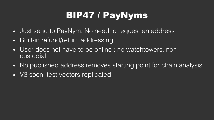# BIP47 / PayNyms

- Just send to PayNym. No need to request an address
- Built-in refund/return addressing
- User does not have to be online : no watchtowers, noncustodial
- No published address removes starting point for chain analysis
- V3 soon, test vectors replicated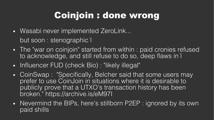## Coinjoin : done wrong

- Wasabi never implemented ZeroLink... but soon : stenographic i
- The "war on coinjoin" started from within : paid cronies refused to acknowledge, and still refuse to do so, deep flaws in i
- Influencer FUD (check Bio) : "likely illegal"
- CoinSwap: "Specifically, Belcher said that some users may prefer to use CoinJoin in situations where it is desirable to publicly prove that a UTXO's transaction history has been broken." https://archive.is/eM97I
- Nevermind the BIPs, here's stillborn P2EP : ignored by its own paid shills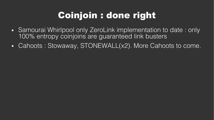# Coinjoin : done right

- Samourai Whirlpool only ZeroLink implementation to date: only 100% entropy coinjoins are guaranteed link busters
- Cahoots : Stowaway, STONEWALL(x2). More Cahoots to come.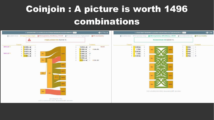# Coinjoin : A picture is worth 1496 combinations